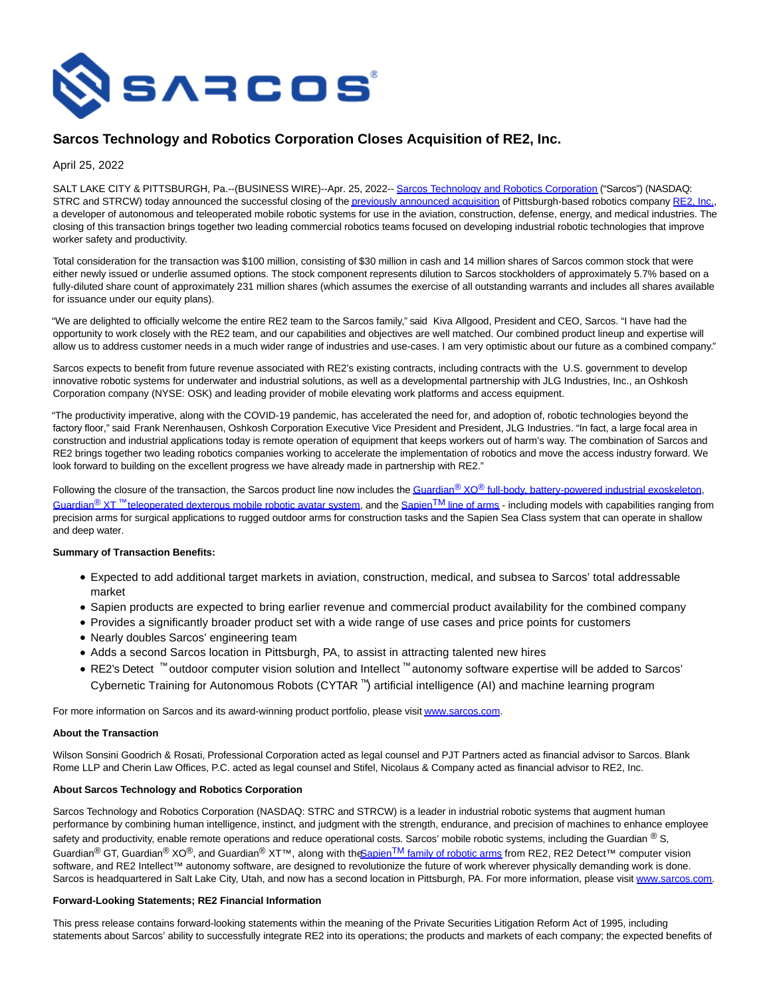

# **Sarcos Technology and Robotics Corporation Closes Acquisition of RE2, Inc.**

April 25, 2022

SALT LAKE CITY & PITTSBURGH, Pa.--(BUSINESS WIRE)--Apr. 25, 2022-[- Sarcos Technology and Robotics Corporation \(](https://cts.businesswire.com/ct/CT?id=smartlink&url=http%3A%2F%2Fwww.sarcos.com%2F&esheet=52695750&newsitemid=20220425005254&lan=en-US&anchor=Sarcos+Technology+and+Robotics+Corporation&index=1&md5=2e6a86511c1f9be9ba4064b67316c8ca)"Sarcos") (NASDAQ: STRC and STRCW) today announced the successful closing of th[e previously announced acquisition o](https://cts.businesswire.com/ct/CT?id=smartlink&url=https%3A%2F%2Fwww.sarcos.com%2Fpress-releases%2Fsarcos-technology-and-robotics-corporation-to-acquire-re2%2F&esheet=52695750&newsitemid=20220425005254&lan=en-US&anchor=previously+announced+acquisition&index=2&md5=c21b9d02c987777ae1b0ce9eebe64574)f Pittsburgh-based robotics company [RE2, Inc.,](https://cts.businesswire.com/ct/CT?id=smartlink&url=https%3A%2F%2Fwww.resquared.com%2F&esheet=52695750&newsitemid=20220425005254&lan=en-US&anchor=RE2%2C+Inc.&index=3&md5=bf0210ae25200c0d895a53481672377a) a developer of autonomous and teleoperated mobile robotic systems for use in the aviation, construction, defense, energy, and medical industries. The closing of this transaction brings together two leading commercial robotics teams focused on developing industrial robotic technologies that improve worker safety and productivity.

Total consideration for the transaction was \$100 million, consisting of \$30 million in cash and 14 million shares of Sarcos common stock that were either newly issued or underlie assumed options. The stock component represents dilution to Sarcos stockholders of approximately 5.7% based on a fully-diluted share count of approximately 231 million shares (which assumes the exercise of all outstanding warrants and includes all shares available for issuance under our equity plans).

"We are delighted to officially welcome the entire RE2 team to the Sarcos family," said Kiva Allgood, President and CEO, Sarcos. "I have had the opportunity to work closely with the RE2 team, and our capabilities and objectives are well matched. Our combined product lineup and expertise will allow us to address customer needs in a much wider range of industries and use-cases. I am very optimistic about our future as a combined company."

Sarcos expects to benefit from future revenue associated with RE2's existing contracts, including contracts with the U.S. government to develop innovative robotic systems for underwater and industrial solutions, as well as a developmental partnership with JLG Industries, Inc., an Oshkosh Corporation company (NYSE: OSK) and leading provider of mobile elevating work platforms and access equipment.

"The productivity imperative, along with the COVID-19 pandemic, has accelerated the need for, and adoption of, robotic technologies beyond the factory floor," said Frank Nerenhausen, Oshkosh Corporation Executive Vice President and President, JLG Industries. "In fact, a large focal area in construction and industrial applications today is remote operation of equipment that keeps workers out of harm's way. The combination of Sarcos and RE2 brings together two leading robotics companies working to accelerate the implementation of robotics and move the access industry forward. We look forward to building on the excellent progress we have already made in partnership with RE2."

Following the closure of the transaction, the Sarcos product line now includes the Guardian<sup>®</sup> XO® [full-body, battery-powered industrial exoskeleton,](https://cts.businesswire.com/ct/CT?id=smartlink&url=https%3A%2F%2Fwww.sarcos.com%2Fproducts%2Fguardian-xo-powered-exoskeleton%2F&esheet=52695750&newsitemid=20220425005254&lan=en-US&anchor=Guardian%26%23174%3B+XO%26%23174%3B+full-body%2C+battery-powered+industrial+exoskeleton&index=4&md5=eef17891aa59f5a4e59792e625928a3d) Guardian<sup>®</sup> XT<sup>™</sup> [teleoperated dexterous mobile robotic avatar system,](https://cts.businesswire.com/ct/CT?id=smartlink&url=https%3A%2F%2Fwww.sarcos.com%2Fproducts%2Fguardian-xt%2F&esheet=52695750&newsitemid=20220425005254&lan=en-US&anchor=Guardian%26%23174%3B+XT%26%238482%3B+teleoperated+dexterous+mobile+robotic+avatar+system&index=5&md5=1d7b23aa381e794780bff18f62bd48e8) and the Sapien<sup>TM</sup> [line of arms -](https://cts.businesswire.com/ct/CT?id=smartlink&url=https%3A%2F%2Fwww.resquared.com%2Fre2sapien&esheet=52695750&newsitemid=20220425005254&lan=en-US&anchor=SapienTM+line+of+arms&index=6&md5=8d782db4b33e9ad6acca0411ecd937e3) including models with capabilities ranging from precision arms for surgical applications to rugged outdoor arms for construction tasks and the Sapien Sea Class system that can operate in shallow and deep water.

### **Summary of Transaction Benefits:**

- Expected to add additional target markets in aviation, construction, medical, and subsea to Sarcos' total addressable market
- Sapien products are expected to bring earlier revenue and commercial product availability for the combined company
- Provides a significantly broader product set with a wide range of use cases and price points for customers
- Nearly doubles Sarcos' engineering team
- Adds a second Sarcos location in Pittsburgh, PA, to assist in attracting talented new hires
- RE2's Detect ™ outdoor computer vision solution and Intellect ™ autonomy software expertise will be added to Sarcos' Cybernetic Training for Autonomous Robots (CYTAR ™) artificial intelligence (AI) and machine learning program

For more information on Sarcos and its award-winning product portfolio, please visi[t www.sarcos.com.](https://cts.businesswire.com/ct/CT?id=smartlink&url=http%3A%2F%2Fwww.sarcos.com&esheet=52695750&newsitemid=20220425005254&lan=en-US&anchor=www.sarcos.com&index=7&md5=e218be5afd94779d0bb9c0d90753ae46)

### **About the Transaction**

Wilson Sonsini Goodrich & Rosati, Professional Corporation acted as legal counsel and PJT Partners acted as financial advisor to Sarcos. Blank Rome LLP and Cherin Law Offices, P.C. acted as legal counsel and Stifel, Nicolaus & Company acted as financial advisor to RE2, Inc.

### **About Sarcos Technology and Robotics Corporation**

Sarcos Technology and Robotics Corporation (NASDAQ: STRC and STRCW) is a leader in industrial robotic systems that augment human performance by combining human intelligence, instinct, and judgment with the strength, endurance, and precision of machines to enhance employee safety and productivity, enable remote operations and reduce operational costs. Sarcos' mobile robotic systems, including the Guardian  $^{\circledR}$  S, Guardian<sup>®</sup> GT, Guardian<sup>®</sup> XO<sup>®</sup>, and Guardian<sup>®</sup> XT™, along with the Sapien<sup>TM</sup> [family of robotic arms f](https://cts.businesswire.com/ct/CT?id=smartlink&url=https%3A%2F%2Fwww.resquared.com%2Fre2sapien&esheet=52695750&newsitemid=20220425005254&lan=en-US&anchor=SapienTM+family+of+robotic+arms&index=8&md5=66ea6bfb7fbaaca83c3c5dbc2c27b19a)rom RE2, RE2 Detect™ computer vision software, and RE2 Intellect™ autonomy software, are designed to revolutionize the future of work wherever physically demanding work is done. Sarcos is headquartered in Salt Lake City, Utah, and now has a second location in Pittsburgh, PA. For more information, please visit [www.sarcos.com.](https://cts.businesswire.com/ct/CT?id=smartlink&url=http%3A%2F%2Fwww.sarcos.com&esheet=52695750&newsitemid=20220425005254&lan=en-US&anchor=www.sarcos.com&index=9&md5=c469ff15c0056a399978ca9ffb196cfe)

## **Forward-Looking Statements; RE2 Financial Information**

This press release contains forward-looking statements within the meaning of the Private Securities Litigation Reform Act of 1995, including statements about Sarcos' ability to successfully integrate RE2 into its operations; the products and markets of each company; the expected benefits of